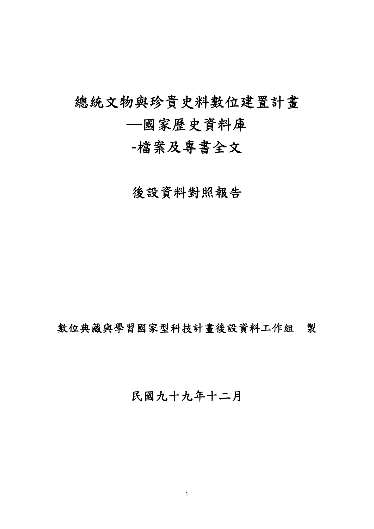# 總統文物與珍貴史料數位建置計畫

## ─國家歷史資料庫

**-**檔案及專書全文

## 後設資料對照報告

### 數位典藏與學習國家型科技計畫後設資料工作組 製

### 民國九十九年十二月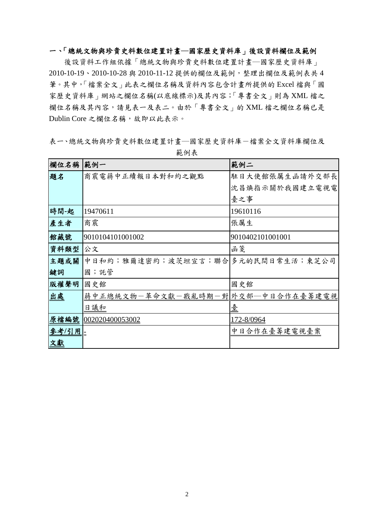#### 一、「總統文物與珍貴史料數位建置計畫─國家歷史資料庫」後設資料欄位及範例

後設資料工作組依據「總統文物與珍貴史料數位建置計畫─國家歷史資料庫」 2010-10-19、2010-10-28 與 2010-11-12 提供的欄位及範例,整理出欄位及範例表共 4 筆。其中,「檔案全文」此表之欄位名稱及資料內容包含計畫所提供的 Excel 檔與「國 家歷史資料庫」網站之欄位名稱(以底線標示)及其內容;「專書全文」則為 XML 檔之 欄位名稱及其內容,請見表一及表二。由於「專書全文」的 XML 檔之欄位名稱已是 Dublin Core 之欄位名稱,故即以此表示。

#### 表一、總統文物與珍貴史料數位建置計畫—國家歷史資料庫一檔案全文資料庫欄位及

| 欄位名稱  | 範例一                                | 範例二              |
|-------|------------------------------------|------------------|
| 題名    | 商震電蔣中正續報日本對和約之觀點                   | 駐日大使館張厲生函請外交部長   |
|       |                                    | 沈昌焕指示關於我國建立電視電   |
|       |                                    | 臺之事              |
| 時間-起  | 19470611                           | 19610116         |
| 產生者   | 商震                                 | 張厲生              |
| 館藏號   | 9010104101001002                   | 9010402101001001 |
| 資料類型  | 公文                                 | 函箋               |
| 主題或關  | 中日和約;雅爾達密約;波茨坦宣言;聯合 多元的民間日常生活;東芝公司 |                  |
| 鍵詞    | 國;託管                               |                  |
| 版權聲明  | 國史館                                | 國史館              |
| 出處    | 蔣中正總統文物-革命文獻-戡亂時期-對 外交部—中日合作在臺籌建電視 |                  |
|       | 日議和                                | 臺                |
| 原檔編號  | 002020400053002                    | 172-8/0964       |
| 參考/引用 |                                    | 中日合作在臺籌建電視臺案     |
| 文獻    |                                    |                  |

範例表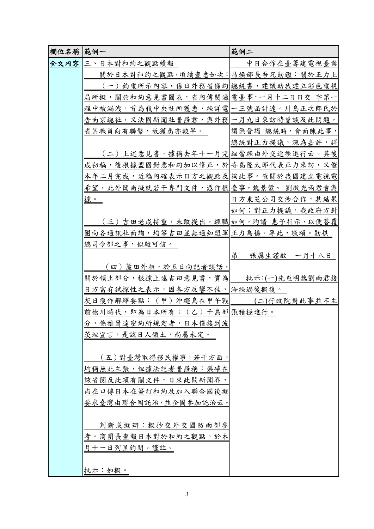| 欄位名稱 | 範例一                                 | 範例二              |
|------|-------------------------------------|------------------|
| 全文內容 | 三、日本對和約之觀點續報                        | 中日合作在臺籌建電視臺案     |
|      | 關於日本對和約之觀點,頃續查悉如次: 昌煥部長吾兄勛鑑:關於正力上   |                  |
|      | (一) 鈞電所示內容,係日外務省條約 總統書,建議助我建立彩色電視   |                  |
|      | 局所擬,關於和約意見書圖表,省內傳閱過 電臺事,一月十二日日交 字第一 |                  |
|      | 程中被漏洩,首為我中央社所獲悉,經詳電 一三號函計達。川島正次郎氏於  |                  |
|      | 告南京總社,又法國新聞社普羅君,與外務 一月九日來訪時曾談及此問題,  |                  |
|      | 省某職員向有聯繫,故獲悉亦較早。                    | 謂渠晉謁 總統時,會面陳此事,  |
|      |                                     | 總統對正力提議,深為嘉許,詳   |
|      | (二) 上述意見書,據稱去年十一月完 細當經由外交途徑進行云。其後   |                  |
|      | 成初稿,後根據盟國對意和約加以修正,於 寺島隆太郎代表正力來訪,又催  |                  |
|      | 本年二月完成,近稿內確表示日方之觀點及 詢此事。查關於我國建立電視電  |                  |
|      | 希望,此外聞尚擬就若干專門文件,憑作根 臺事,魏景蒙、 劉啟光兩君會與 |                  |
|      | 據。                                  | 日方東芝公司交涉合作,其結果   |
|      |                                     | 如何;對正力提議,我政府方針   |
|      | (三) 吉田老成持重,未敢提出,經職 如何,均請 惠予指示,以便答覆  |                  |
|      | 團向各通訊社面詢,均答吉田並無通知盟軍 正力為禱。專此,敬頌。勛祺   |                  |
|      | 總司令部之事,似較可信。                        |                  |
|      |                                     | 弟<br>張厲生謹啟 一月十八日 |
|      | (四)蘆田外相,於五日向記者談話,                   |                  |
|      | 關於領土部分,根據上述吉田意見書,實為                 | 批示:(一)先查明魏劉兩君接   |
|      | 日方富有試探性之表示,因各方反響不佳, 洽經過後擬復。         |                  |
|      | 灰日復作解釋要點:(甲)沖繩島在甲午戰                 | (二)行政院對此事並不主     |
|      | 前德川時代,即為日本所有; (乙) 千島部 張積極進行。        |                  |
|      | 分,係雅爾達密約所規定者,日本僅接到波                 |                  |
|      | 茨坦宣言,是該日人領土,尚屬未定。                   |                  |
|      |                                     |                  |
|      | (五)對臺灣取得移民權事,若干方面,                  |                  |
|      | 均稱無此主張,但據法記者普羅稱:渠確在                 |                  |
|      | 該省閱及此項有關文件,日來此間新聞界,                 |                  |
|      | 尚在口傳日本在簽訂和約及加入聯合國後擬                 |                  |
|      | 要求臺灣由聯合國託治,並企圖參加託治云                 |                  |
|      |                                     |                  |
|      | 判斷或擬辦:擬抄交外交國防兩部參                    |                  |
|      | 考。商團長查報日本對於和約之觀點,於本                 |                  |
|      | 月十一日列呈鈞閱。謹註。                        |                  |
|      |                                     |                  |
|      | 批示:如擬。                              |                  |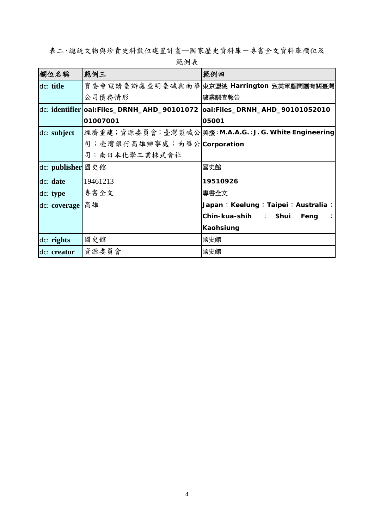表二、總統文物與珍貴史料數位建置計畫—國家歷史資料庫一專書全文資料庫欄位及

| 欄位名稱              | 範例三                         | 範例四                                                                         |
|-------------------|-----------------------------|-----------------------------------------------------------------------------|
| dc: title         |                             | 資委 會 電 請 臺 辦 處 查 明 臺 碱 與 南 華  東京盟總 Harrington 致美軍顧問團有關臺灣                    |
|                   | 公司債務情形                      | 礦業調査報告                                                                      |
|                   |                             | dc: identifier  oai:Files_DRNH_AHD_90101072  oai:Files_DRNH_AHD_90101052010 |
|                   | 01007001                    | 05001                                                                       |
| dc: subject       |                             | 經濟重建;資源委員會;臺灣製碱公美援;M.A.A.G.;J.G. White Engineering                          |
|                   | 司;臺灣銀行高雄辦事處;南華公 Corporation |                                                                             |
|                   | 司;南日本化學工業株式會社               |                                                                             |
| dc: publisher 國史館 |                             | 國史館                                                                         |
| $dc:$ date        | 19461213                    | 19510926                                                                    |
| dc: type          | 專書全文                        | 專書全文                                                                        |
| dc: coverage      | 高雄                          | Japan ; Keelung ; Taipei ; Australia ;                                      |
|                   |                             | Chin-kua-shih ; Shui<br>Feng                                                |
|                   |                             | Kaohsiung                                                                   |
| $dc:$ rights      | 國史館                         | 國史館                                                                         |
| dc: creator       | 資源委員會                       | 國史館                                                                         |

範例表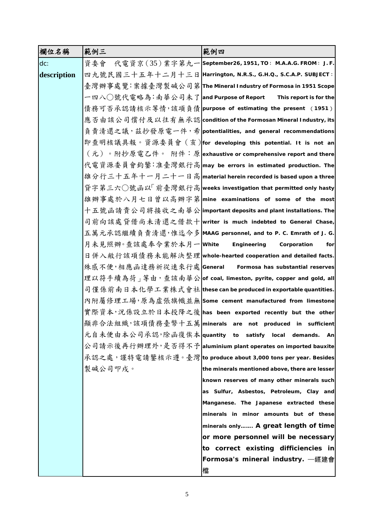| 欄位名稱        | 範例三                    | 範例四                                                              |
|-------------|------------------------|------------------------------------------------------------------|
| dc:         |                        | 資委會 代電資京(35)業字第九一 September26,1951,TO: M.A.A.G. FROM: J. F.      |
| description |                        | 四九號民國三十五年十二月十三日 Harrington, N.R.S., G.H.Q., S.C.A.P. SUBJECT:    |
|             |                        | 臺灣辦事處覽:案據臺灣製碱公司第 The Mineral Industry of Formosa in 1951 Scope   |
|             |                        | 一四八◯號代電略為:南華公司未了 and Purpose of Report   This report is for the  |
|             |                        | 債務可否承認請核示等情,該項負債 purpose of estimating the present (1951)        |
|             |                        | 應否由該公司償付及以往有無承認 condition of the Formosan Mineral Industry, its  |
|             |                        | 負責清還之議,茲抄發原電一件,希 potentialities, and general recommendations     |
|             |                        | 即查明核議具報。資源委員會 (亥) for developing this potential. It is not an    |
|             |                        | (元)。附抄原電乙件。 附件:原 exhaustive or comprehensive report and there    |
|             |                        | 代電資源委員會鈞鑒:准臺灣銀行高 may be errors in estimated production. The      |
|             |                        | 雄分行三十五年十一月二十一日高 material herein recorded is based upon a three   |
|             |                        | 貸字第三六◯號函以「前臺灣銀行高│weeks investigation that permitted only hasty   |
|             |                        | 雄辨事處於八月七日曾以高辦字第 mine examinations of some of the most            |
|             |                        | 十五號函請貴公司將接收之南華公 important deposits and plant installations. The  |
|             |                        | 司前向該處貸借尚未清還之借款十 writer is much indebted to General Chase,        |
|             |                        | 五萬元承認繼續負責清還,惟迄今多 MAAG personnel, and to P. C. Emrath of J. G.    |
|             | 月未見照辦。查該處奉令業於本月一 White | Engineering<br>Corporation<br>for                                |
|             |                        | 日併入敝行該項債務未能解決整理 whole-hearted cooperation and detailed facts.    |
|             |                        | 殊感不便,相應函達務祈從速來行處 General Formosa has substantial reserves        |
|             |                        | 理以符手續為荷」等由,查該南華公 of coal, limeston, pyrite, copper and gold, all |
|             |                        | 司僅係前南日本化學工業株式會社 these can be produced in exportable quantities.  |
|             |                        | 內附屬修理工場,原為虛張旗幟並無 Some cement manufactured from limestone         |
|             |                        | 實際資本,況係設立於日本投降之後 has been exported recently but the other        |
|             |                        | 顯非合法組織,該項債務臺幣十五萬 minerals are not produced in sufficient         |
|             |                        | 元自未便由本公司承認,除函復俟本 quantity to satisfy local demands. An           |
|             |                        | 公司請示後再行辦理外,是否得不予 aluminium plant operates on imported bauxite    |
|             |                        | 承認之處,謹特電請鑒核示遵。臺灣 to produce about 3,000 tons per year. Besides   |
|             | 製碱公司叩戍。                | the minerals mentioned above, there are lesser                   |
|             |                        | known reserves of many other minerals such                       |
|             |                        | as Sulfur, Asbestos, Petroleum, Clay and                         |
|             |                        | Manganese. The Japanese extracted these                          |
|             |                        | minerals in minor amounts but of these                           |
|             |                        | minerals only A great length of time                             |
|             |                        | or more personnel will be necessary                              |
|             |                        | to correct existing difficiencies in                             |
|             |                        | Formosa's mineral industry. –經建會                                 |
|             |                        | 檔                                                                |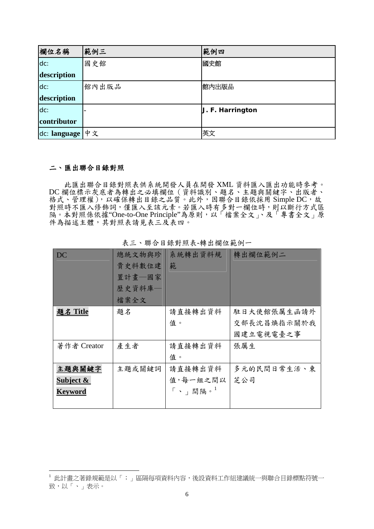| 欄位名稱         | 範例三   | 範例四              |
|--------------|-------|------------------|
| dc:          | 國史館   | 國史館              |
| description  |       |                  |
| dc:          | 館內出版品 | 館內出版品            |
| description  |       |                  |
| dc:          |       | J. F. Harrington |
| contributor  |       |                  |
| dc: language | 中文    | 英文               |

#### 二、匯出聯合目錄對照

1

此匯出聯合目錄對照表供系統開發人員在開發 XML 資料匯入匯出功能時參考。 DC 欄位標示灰底者為轉出之必填欄位(資料識別、題名、主題與關鍵字、出版者、 格式、管理權),以確保轉出目錄之品質。此外,因聯合目錄依採用 Simple DC,故 對照時不匯入修飾詞,僅匯入至該元素。若匯入時有多對一欄位時,則以斷行方式區 隔。本對照係依據"One-to-One Principle"為原則,以「檔案全文」、及「專書全文」原 件為描述主體,其對照表請見表三及表四。

| DC                   | 總統文物與珍 | 系統轉出資料規                   | 轉出欄位範例二     |
|----------------------|--------|---------------------------|-------------|
|                      | 貴史料數位建 | 範                         |             |
|                      | 置計畫–國家 |                           |             |
|                      | 歷史資料庫- |                           |             |
|                      | 檔案全文   |                           |             |
| 題名 Title             | 題名     | 請直接轉出資料                   | 駐日大使館張厲生函請外 |
|                      |        | 值。                        | 交部長沈昌煥指示關於我 |
|                      |        |                           | 國建立電視電臺之事   |
| 著作者 Creator          | 產生者    | 請直接轉出資料                   | 張厲生         |
|                      |        | 值。                        |             |
| 主題與關鍵字               | 主題或關鍵詞 | 請直接轉出資料                   | 多元的民間日常生活、東 |
| <b>Subject &amp;</b> |        | 值,每一組之間以                  | 芝公司         |
| <b>Keyword</b>       |        | $\lceil \cdot \rceil$ 間隔。 |             |
|                      |        |                           |             |

表三、聯合目錄對照表-轉出欄位範例一

 $^{\rm 1}$  此計畫之著錄規範是以「;」區隔每項資料內容,後設資料工作組建議統一與聯合目錄標點符號一 致,以「、」表示。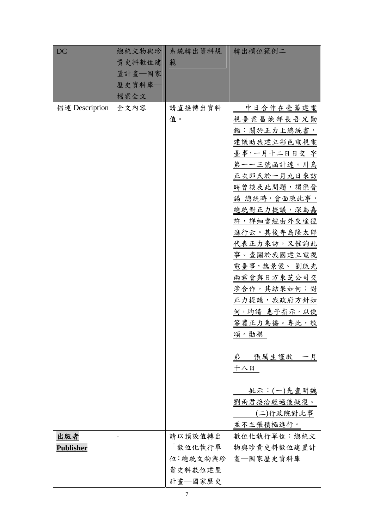| <b>DC</b>        | 總統文物與珍 | 系統轉出資料規  | 轉出欄位範例二            |
|------------------|--------|----------|--------------------|
|                  | 貴史料數位建 | 範        |                    |
|                  | 置計畫–國家 |          |                    |
|                  | 歷史資料庫- |          |                    |
|                  | 檔案全文   |          |                    |
| 描述 Description   | 全文內容   | 請直接轉出資料  | 中日合作在臺籌建電          |
|                  |        | 值。       | 視臺案昌煥部長吾兄勛         |
|                  |        |          | 鑑:關於正力上總統書,        |
|                  |        |          | 建議助我建立彩色電視電        |
|                  |        |          | 臺事,一月十二日日交 字       |
|                  |        |          | 第一一三號函計達。川島        |
|                  |        |          | 正次郎氏於一月九日來訪        |
|                  |        |          | 時曾談及此問題,謂渠晉        |
|                  |        |          | 謁 總統時,會面陳此事,       |
|                  |        |          | 總統對正力提議,深為嘉        |
|                  |        |          | 許,詳細當經由外交途徑        |
|                  |        |          | 進行云。其後寺島隆太郎        |
|                  |        |          | 代表正力來訪,又催詢此        |
|                  |        |          | 事。查關於我國建立電視        |
|                  |        |          | 電臺事, 魏景蒙、 劉啟光      |
|                  |        |          | 两君會與日方東芝公司交        |
|                  |        |          | 涉合作,其結果如何;對        |
|                  |        |          | 正力提議,我政府方針如        |
|                  |        |          | 何,均請 惠予指示,以便       |
|                  |        |          | <u>答覆正力為禱。專此,敬</u> |
|                  |        |          | 頌。勛祺               |
|                  |        |          | 弟 張厲生謹啟 一月         |
|                  |        |          | 十八日                |
|                  |        |          |                    |
|                  |        |          | 批示:(一)先查明魏         |
|                  |        |          | 劉兩君接洽經過後擬復。        |
|                  |        |          | (二)行政院對此事          |
|                  |        |          | 並不主張積極進行。          |
| 出版者              |        | 請以預設值轉出  | 數位化執行單位:總統文        |
| <b>Publisher</b> |        | 「數位化執行單  | 物與珍貴史料數位建置計        |
|                  |        | 位:總統文物與珍 | 畫—國家歷史資料庫          |
|                  |        | 貴史料數位建置  |                    |
|                  |        | 計畫–國家歷史  |                    |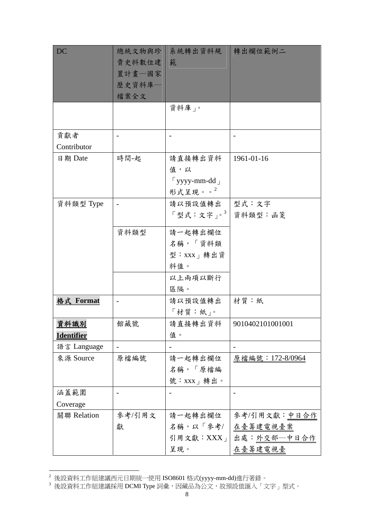| DC                | 總統文物與珍                   | 系統轉出資料規                      | 轉出欄位範例二              |
|-------------------|--------------------------|------------------------------|----------------------|
|                   | 貴史料數位建                   | 範                            |                      |
|                   | 置計畫–國家                   |                              |                      |
|                   | 歷史資料庫-                   |                              |                      |
|                   | 檔案全文                     |                              |                      |
|                   |                          | 資料庫」。                        |                      |
|                   |                          |                              |                      |
| 貢獻者               |                          |                              |                      |
| Contributor       |                          |                              |                      |
| 日期 Date           | 時間-起                     | 請直接轉出資料                      | 1961-01-16           |
|                   |                          | 值,以                          |                      |
|                   |                          | $\lceil$ yyyy-mm-dd $\lceil$ |                      |
|                   |                          | 形式呈現。。 $2$                   |                      |
| 資料類型 Type         | $\overline{\phantom{0}}$ | 請以預設值轉出                      | 型式:文字                |
|                   |                          | 「型式:文字」。3                    | 資料類型:函箋              |
|                   | 資料類型                     | 請一起轉出欄位                      |                      |
|                   |                          | 名稱,「資料類                      |                      |
|                   |                          | 型:XXX」轉出資                    |                      |
|                   |                          | 料值。                          |                      |
|                   |                          | 以上兩項以斷行                      |                      |
|                   |                          | 區隔。                          |                      |
| 格式 Format         |                          | 請以預設值轉出                      | 材質:紙                 |
|                   |                          | 「材質:紙」。                      |                      |
| 資料識別              | 館藏號                      | 請直接轉出資料                      | 9010402101001001     |
| <b>Identifier</b> |                          | 值。                           |                      |
| 語言 Language       |                          |                              |                      |
| 來源 Source         | 原檔編號                     | 請一起轉出欄位                      | 原檔編號:172-8/0964      |
|                   |                          | 名稱,「原檔編                      |                      |
|                   |                          | 號: XXX」轉出。                   |                      |
| 涵蓋範圍              |                          |                              |                      |
| Coverage          |                          |                              |                      |
| 關聯 Relation       | 參考/引用文                   | 請一起轉出欄位                      | 參考/引用文獻: <u>中日合作</u> |
|                   | 獻                        | 名稱,以「參考/                     | <u>在臺籌建電視臺案</u>      |
|                   |                          | 引用文獻: XXX」                   | 出處:外交部—中日合作          |
|                   |                          | 呈現。                          | <u>在臺籌建電視臺</u>       |

 $^2$  後設資料工作組建議西元日期統一使用 ISO8601 格式(yyyy-mm-dd)進行著錄。

1

<sup>。&</sup>lt;br>3 後設資料工作組建議採用 DCMI Type 詞彙,因藏品為公文,故預設值匯入「文字」型式。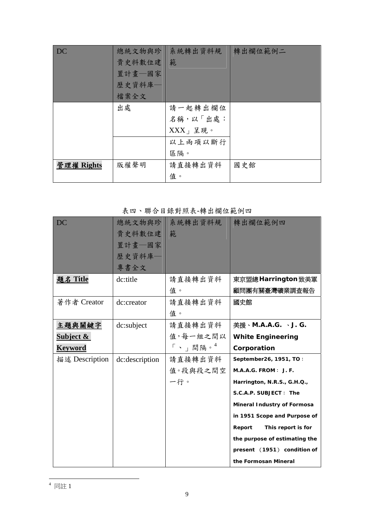| <b>DC</b>  | 總統文物與珍 | 系統轉出資料規     | 轉出欄位範例二 |
|------------|--------|-------------|---------|
|            | 貴史料數位建 | 範           |         |
|            | 置計畫—國家 |             |         |
|            | 歷史資料庫- |             |         |
|            | 檔案全文   |             |         |
|            | 出處     | 請一起轉出欄位     |         |
|            |        | 名稱,以「出處:    |         |
|            |        | $XXX_+$ 呈現。 |         |
|            |        | 以上兩項以斷行     |         |
|            |        | 區隔。         |         |
| 管理權 Rights | 版權聲明   | 請直接轉出資料     | 國史館     |
|            |        | 值。          |         |

表四、聯合目錄對照表-轉出欄位範例四

| <b>DC</b>            | 總統文物與珍         | 系統轉出資料規                                | 轉出欄位範例四                       |
|----------------------|----------------|----------------------------------------|-------------------------------|
|                      | 貴史料數位建         | 範                                      |                               |
|                      | 置計畫–國家         |                                        |                               |
|                      | 歷史資料庫–         |                                        |                               |
|                      | 專書全文           |                                        |                               |
| 題名 Title             | dc:title       | 請直接轉出資料                                | 東京盟總 Harrington 致美軍           |
|                      |                | 值。                                     | 顧問團有關臺灣礦業調査報告                 |
| 著作者 Creator          | dc:creator     | 請直接轉出資料                                | 國史館                           |
|                      |                | 值。                                     |                               |
| 主題與關鍵字               | dc:subject     | 請直接轉出資料                                | 美援、M.A.A.G. 、J. G.            |
| <b>Subject &amp;</b> |                | 值,每一組之間以                               | <b>White Engineering</b>      |
| <b>Keyword</b>       |                | $\lceil \cdot \rceil$ 間隔。 <sup>4</sup> | Corporation                   |
| 描述 Description       | dc:description | 請直接轉出資料                                | September26, 1951, TO:        |
|                      |                | 值。段與段之間空                               | $M.A.A.G.$ FROM : J. F.       |
|                      |                | 一行。                                    |                               |
|                      |                |                                        | Harrington, N.R.S., G.H.Q.,   |
|                      |                |                                        | S.C.A.P. SUBJECT: The         |
|                      |                |                                        | Mineral Industry of Formosa   |
|                      |                |                                        | in 1951 Scope and Purpose of  |
|                      |                |                                        | This report is for<br>Report  |
|                      |                |                                        | the purpose of estimating the |
|                      |                |                                        | present (1951) condition of   |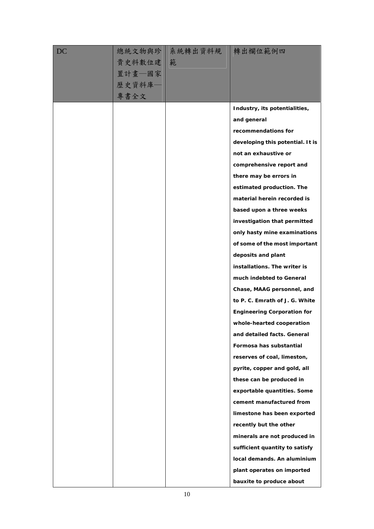| DC |          | 總統文物與珍 系統轉出資料規 轉出欄位範例四 |                                    |
|----|----------|------------------------|------------------------------------|
|    | 貴史料數位建 範 |                        |                                    |
|    | 置計畫–國家   |                        |                                    |
|    | 歷史資料庫–   |                        |                                    |
|    | 專書全文     |                        |                                    |
|    |          |                        | Industry, its potentialities,      |
|    |          |                        | and general                        |
|    |          |                        | recommendations for                |
|    |          |                        | developing this potential. It is   |
|    |          |                        | not an exhaustive or               |
|    |          |                        | comprehensive report and           |
|    |          |                        | there may be errors in             |
|    |          |                        | estimated production. The          |
|    |          |                        | material herein recorded is        |
|    |          |                        | based upon a three weeks           |
|    |          |                        | investigation that permitted       |
|    |          |                        | only hasty mine examinations       |
|    |          |                        | of some of the most important      |
|    |          |                        | deposits and plant                 |
|    |          |                        | installations. The writer is       |
|    |          |                        | much indebted to General           |
|    |          |                        | Chase, MAAG personnel, and         |
|    |          |                        | to P. C. Emrath of J. G. White     |
|    |          |                        | <b>Engineering Corporation for</b> |
|    |          |                        | whole-hearted cooperation          |
|    |          |                        | and detailed facts. General        |
|    |          |                        | Formosa has substantial            |
|    |          |                        | reserves of coal, limeston,        |
|    |          |                        | pyrite, copper and gold, all       |
|    |          |                        | these can be produced in           |
|    |          |                        | exportable quantities. Some        |
|    |          |                        | cement manufactured from           |
|    |          |                        | limestone has been exported        |
|    |          |                        | recently but the other             |
|    |          |                        | minerals are not produced in       |
|    |          |                        | sufficient quantity to satisfy     |
|    |          |                        | local demands. An aluminium        |
|    |          |                        | plant operates on imported         |
|    |          |                        | bauxite to produce about           |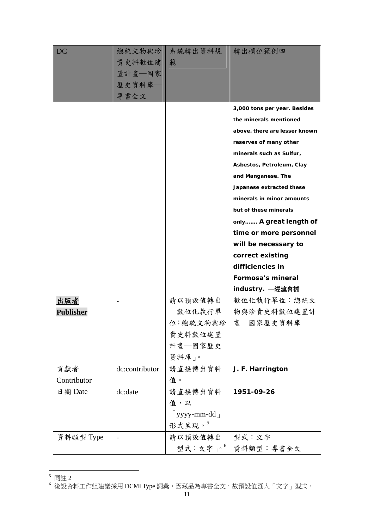| DC          |                | 總統文物與珍 系統轉出資料規               | 轉出欄位範例四                       |
|-------------|----------------|------------------------------|-------------------------------|
|             | 貴史料數位建         | 範                            |                               |
|             | 置計畫–國家         |                              |                               |
|             | 歷史資料庫–         |                              |                               |
|             | 專書全文           |                              |                               |
|             |                |                              | 3,000 tons per year. Besides  |
|             |                |                              | the minerals mentioned        |
|             |                |                              | above, there are lesser known |
|             |                |                              | reserves of many other        |
|             |                |                              | minerals such as Sulfur,      |
|             |                |                              | Asbestos, Petroleum, Clay     |
|             |                |                              | and Manganese. The            |
|             |                |                              | Japanese extracted these      |
|             |                |                              | minerals in minor amounts     |
|             |                |                              | but of these minerals         |
|             |                |                              | only A great length of        |
|             |                |                              | time or more personnel        |
|             |                |                              | will be necessary to          |
|             |                |                              | correct existing              |
|             |                |                              | difficiencies in              |
|             |                |                              | Formosa's mineral             |
|             |                |                              | industry. —經建會檔               |
| <u>出版者</u>  |                | 請以預設值轉出                      | 數位化執行單位:總統文                   |
| Publisher   |                | 「數位化執行單                      | 物與珍貴史料數位建置計                   |
|             |                | 位:總統文物與珍                     | 畫–國家歷史資料庫                     |
|             |                | 貴史料數位建置                      |                               |
|             |                | 計畫–國家歷史                      |                               |
|             |                | 資料庫」。                        |                               |
| 貢獻者         | dc:contributor | 請直接轉出資料                      | J. F. Harrington              |
| Contributor |                | 值。                           |                               |
| 日期 Date     | dc:date        | 請直接轉出資料                      | 1951-09-26                    |
|             |                | 值,以                          |                               |
|             |                | $\lceil$ yyyy-mm-dd $\lceil$ |                               |
|             |                | 形式呈現。 $5$                    |                               |
| 資料類型 Type   |                | 請以預設值轉出                      | 型式:文字                         |
|             |                | 「型式:文字」。                     | 資料類型:專書全文                     |

 $5$  同註 2

<sup>。&</sup>lt;br>「後設資料工作組建議採用 DCMI Type 詞彙,因藏品為專書全文,故預設值匯入「文字」型式。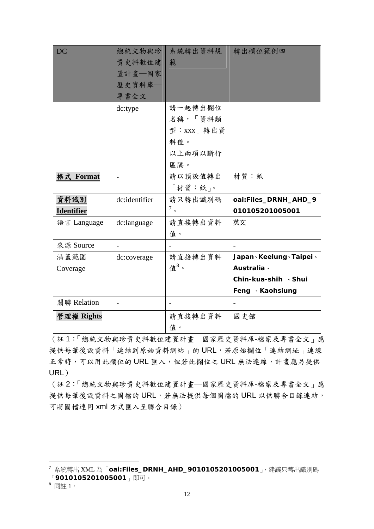| <b>DC</b>         | 總統文物與珍                   | 系統轉出資料規      | 轉出欄位範例四                    |
|-------------------|--------------------------|--------------|----------------------------|
|                   | 貴史料數位建                   | 範            |                            |
|                   | 置計畫––國家                  |              |                            |
|                   | 歷史資料庫-                   |              |                            |
|                   | 專書全文                     |              |                            |
|                   | dc:type                  | 請一起轉出欄位      |                            |
|                   |                          | 名稱,「資料類      |                            |
|                   |                          | 型: XXX   轉出資 |                            |
|                   |                          | 料值。          |                            |
|                   |                          | 以上兩項以斷行      |                            |
|                   |                          | 區隔。          |                            |
| 格式 Format         | $\overline{\phantom{a}}$ | 請以預設值轉出      | 材質:紙                       |
|                   |                          | 「材質:紙」。      |                            |
| 資料識別              | dc:identifier            | 請只轉出識別碼      | oai:Files_DRNH_AHD_9       |
| <b>Identifier</b> |                          | $7\degree$   | 010105201005001            |
| 語言 Language       | dc:language              | 請直接轉出資料      | 英文                         |
|                   |                          | 值。           |                            |
| 來源 Source         | $\overline{\phantom{0}}$ |              | $\overline{\phantom{a}}$   |
| 涵蓋範圍              | dc:coverage              | 請直接轉出資料      | Japan · Keelung · Taipei · |
| Coverage          |                          | 值 $8\degree$ | Australia ·                |
|                   |                          |              | Chin-kua-shih · Shui       |
|                   |                          |              | Feng · Kaohsiung           |
| 關聯 Relation       | $\overline{a}$           |              |                            |
| 管理權 Rights        |                          | 請直接轉出資料      | 國史館                        |
|                   |                          | 值。           |                            |

(註 1:「總統文物與珍貴史料數位建置計畫─國家歷史資料庫-檔案及專書全文」應 提供每筆後設資料「連結到原始資料網站」的 URL,若原始欄位「連結網址」連線 正常時,可以用此欄位的 URL 匯入,但若此欄位之 URL 無法連線,計畫應另提供 URL)

(註 2:「總統文物與珍貴史料數位建置計畫─國家歷史資料庫-檔案及專書全文」應 提供每筆後設資料之圖檔的URL,若無法提供每個圖檔的URL 以供聯合目錄連結, 可將圖檔連同 xml 方式匯入至聯合目錄)

1

<sup>7</sup> 系統轉出 XML 為「**oai:Files\_DRNH\_AHD\_9010105201005001**」,建議只轉出識別碼

<sup>「</sup>**9010105201005001**」即可。

<sup>8</sup> 同註 1。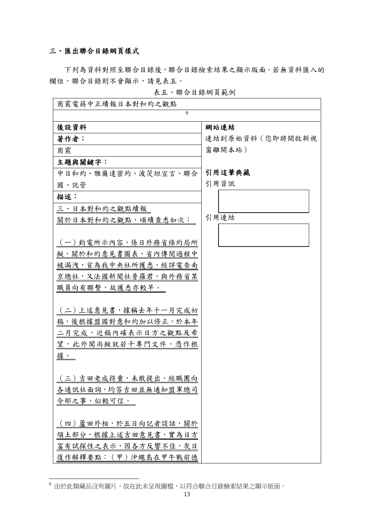#### 三、匯出聯合目錄網頁樣式

下列為資料對照至聯合目錄後,聯合目錄檢索結果之顯示版面。若無資料匯入的 欄位,聯合目錄則不會顯示,請見表五。

| 商震電蔣中正續報日本對和約之觀點            |                 |
|-----------------------------|-----------------|
| 9                           |                 |
| 後設資料                        | 網站連結            |
| 著作者:                        | 連結到原始資料(您即將開啟新視 |
| 商震                          | 窗離開本站)          |
| 主題與關鍵字:                     |                 |
| 中日和約、雅爾達密約、波茨坦宣言、聯合         | 引用這筆典藏          |
| 國、託管                        | 引用資訊            |
| 描述:                         |                 |
| 三、日本對和約之觀點續報                |                 |
| 關於日本對和約之觀點,頃續查悉如次:          | 引用連結            |
|                             |                 |
| (一) 鈞電所示內容, 係日外務省條約局所       |                 |
| 擬,關於和約意見書圖表,省內傳閱過程中         |                 |
| 被漏洩,首為我中央社所獲悉,經詳電告南         |                 |
| 京總社,又法國新聞社普羅君,與外務省某         |                 |
| 職員向有聯繫,故獲悉亦較早。              |                 |
|                             |                 |
| (二)上述意見書,據稱去年十一月完成初         |                 |
| 稿,後根據盟國對意和約加以修正,於本年         |                 |
| <u>二月完成,近稿內確表示日方之觀點及希</u>   |                 |
| <u>望, 此外聞尚擬就若干專門文件, 憑作根</u> |                 |
| 據。                          |                 |
| (三)吉田老成持重,未敢提出,經職團向         |                 |
| 各通訊社面詢,均答吉田並無通知盟軍總司         |                 |
| 令部之事,似較可信。                  |                 |
|                             |                 |
| 四)蘆田外相,於五日向記者談話,關於          |                 |
| 領土部分,根據上述吉田意見書,實為日方         |                 |
| 富有試探性之表示,因各方反響不佳,灰日         |                 |
| 復作解釋要點:(甲)沖繩島在甲午戰前德         |                 |

<u>.</u>

表五、聯合目錄網頁範例

 $^9$  由於此類藏品沒有圖片,故在此未呈現圖檔,以符合聯合目錄檢索結果之顯示版面。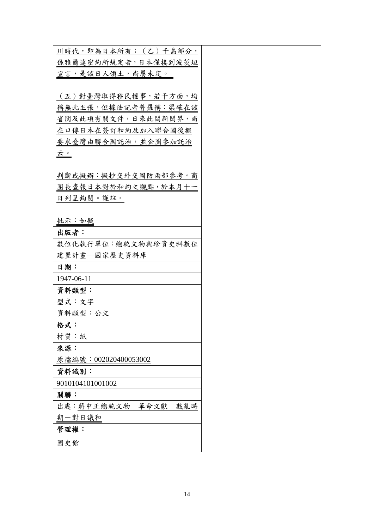| 川時代,即為日本所有; (乙) 千島部分, |  |
|-----------------------|--|
| 係雅爾達密約所規定者,日本僅接到波茨坦   |  |
| 宣言,是該日人領土,尚屬未定。       |  |
|                       |  |
| (五) 對臺灣取得移民權事,若干方面, 均 |  |
| 稱無此主張, 但據法記者普羅稱: 渠確在該 |  |
| 省閱及此項有關文件,日來此間新聞界,尚   |  |
| 在口傳日本在簽訂和約及加入聯合國後擬    |  |
| 要求臺灣由聯合國託治,並企圖參加託治    |  |
| 云。                    |  |
|                       |  |
| 判斷或擬辦:擬抄交外交國防兩部參考。商   |  |
| 團長查報日本對於和約之觀點,於本月十一   |  |
| 日列呈鈞閱。謹註。             |  |
|                       |  |
| 批示:如擬                 |  |
| 出版者:                  |  |
| 數位化執行單位:總統文物與珍貴史料數位   |  |
| 建置計畫–國家歷史資料庫          |  |
| 日期:                   |  |
| 1947-06-11            |  |
| 資料類型:                 |  |
| 型式:文字                 |  |
| 資料類型:公文               |  |
| 格式:                   |  |
| 材質:紙                  |  |
| 來源:                   |  |
| 原檔編號: 002020400053002 |  |
| 資料識別:                 |  |
| 9010104101001002      |  |
| 關聯:                   |  |
| 出處:蔣中正總統文物-革命文獻-戡亂時   |  |
| 期一對日議和                |  |
| 管理權:                  |  |
| 國史館                   |  |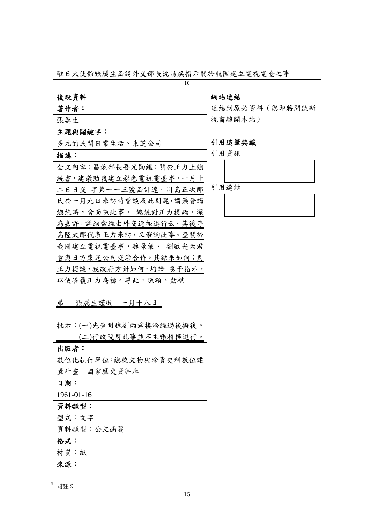| 駐日大使館張厲生函請外交部長沈昌煥指示關於我國建立電視電臺之事<br>10 |                |
|---------------------------------------|----------------|
| 後設資料                                  | 網站連結           |
| 著作者:                                  | 連結到原始資料(您即將開啟新 |
| 張厲生                                   | 視窗離開本站)        |
| 主題與關鍵字:                               |                |
| 多元的民間日常生活、東芝公司                        | 引用這筆典藏         |
| 描述:                                   | 引用資訊           |
| 全文內容:昌煥部長吾兄勛鑑:關於正力上總                  |                |
| 統書,建議助我建立彩色電視電臺事,一月十                  |                |
| 二日日交 字第一一三號函計達。川島正次郎                  | 引用連結           |
| 氏於一月九日來訪時曾談及此問題,謂渠晉謁                  |                |
| 總統時,會面陳此事, 總統對正力提議,深                  |                |
| 為嘉許,詳細當經由外交途徑進行云。其後寺                  |                |
| 島隆太郎代表正力來訪,又催詢此事。查關於                  |                |
| 我國建立電視電臺事,魏景蒙、劉啟光兩君                   |                |
| 會與日方東芝公司交涉合作,其結果如何;對                  |                |
| 正力提議,我政府方針如何,均請 惠予指示,                 |                |
| 以便答覆正力為禱。專此,敬頌。勛祺                     |                |
| 弟<br>張厲生謹啟 一月十八日                      |                |
| 批示:(一)先查明魏劉兩君接洽經過後擬復。                 |                |
| (二)行政院對此事並不主張積極進行。                    |                |
| 出版者:                                  |                |
| 數位化執行單位:總統文物與珍貴史料數位建                  |                |
| 置計畫–國家歷史資料庫                           |                |
| 日期:                                   |                |
| 1961-01-16                            |                |
| 資料類型:                                 |                |
| 型式:文字                                 |                |
| 資料類型:公文函箋                             |                |
| 格式:                                   |                |
| 材質:紙                                  |                |
| 來源:                                   |                |

<u>.</u> <sup>10</sup> 同註 9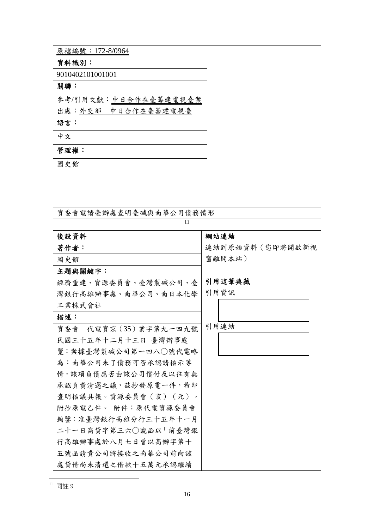| 原檔編號: 172-8/0964     |  |
|----------------------|--|
| 資料識別:                |  |
| 9010402101001001     |  |
| 關聯:                  |  |
| 參考/引用文獻:中日合作在臺籌建電視臺案 |  |
| 出處:外交部–中日合作在臺籌建電視臺   |  |
| 語言:                  |  |
| 中文                   |  |
| 管理權:                 |  |
| 國史館                  |  |

| 資委會電請臺辦處查明臺碱與南華公司債務情形 |                 |
|-----------------------|-----------------|
| 11                    |                 |
| 後設資料                  | 網站連結            |
| 著作者:                  | 連結到原始資料(您即將開啟新視 |
| 國史館                   | 窗離開本站)          |
| 主題與關鍵字:               |                 |
| 經濟重建、資源委員會、臺灣製碱公司、臺   | 引用這筆典藏          |
| 灣銀行高雄辦事處、南華公司、南日本化學   | 引用資訊            |
| 工業株式會社                |                 |
| 描述:                   |                 |
| 資委會 代電資京 (35)業字第九一四九號 | 引用連結            |
| 民國三十五年十二月十三日 臺灣辦事處    |                 |
| 覽:案據臺灣製碱公司第一四八◯號代電略   |                 |
| 為:南華公司未了債務可否承認請核示等    |                 |
| 情,該項負債應否由該公司償付及以往有無   |                 |
| 承認負責清還之議,茲抄發原電一件,希即   |                 |
| 查明核議具報。資源委員會(亥)(元)。   |                 |
| 附抄原電乙件。 附件:原代電資源委員會   |                 |
| 鈞鑒: 准臺灣銀行高雄分行三十五年十一月  |                 |
| 二十一日高貸字第三六◯號函以「前臺灣銀   |                 |
| 行高雄辦事處於八月七日曾以高辦字第十    |                 |
| 五號函請貴公司將接收之南華公司前向該    |                 |
| 處貸借尚未清還之借款十五萬元承認繼續    |                 |

<u>.</u>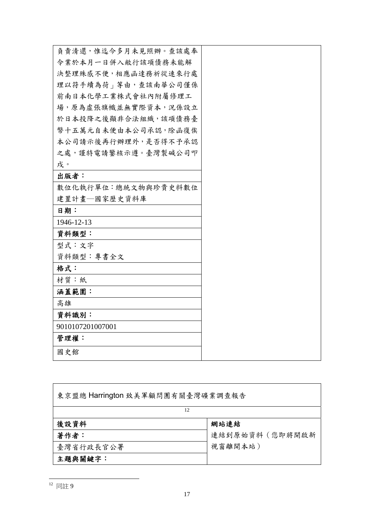| 負責清還,惟迄今多月未見照辦。查該處奉    |  |
|------------------------|--|
| 令業於本月一日併入敝行該項債務未能解     |  |
| 決整理殊感不便,相應函達務祈從速來行處    |  |
| 理以符手續為荷   等由, 查該南華公司僅係 |  |
| 前南日本化學工業株式會社內附屬修理工     |  |
| 場,原為虛張旗幟並無實際資本,況係設立    |  |
| 於日本投降之後顯非合法組織,該項債務臺    |  |
| 幣十五萬元自未便由本公司承認,除函復俟    |  |
| 本公司請示後再行辦理外,是否得不予承認    |  |
| 之處,謹特電請鑒核示遵。臺灣製碱公司叩    |  |
| 戌。                     |  |
| 出版者:                   |  |
| 數位化執行單位:總統文物與珍貴史料數位    |  |
| 建置計畫—國家歷史資料庫           |  |
| 日期:                    |  |
| 1946-12-13             |  |
| 資料類型:                  |  |
| 型式:文字                  |  |
| 資料類型:專書全文              |  |
| 格式:                    |  |
| 材質:紙                   |  |
| 涵蓋範圍:                  |  |
| 高雄                     |  |
| 資料識別:                  |  |
| 9010107201007001       |  |
| 管理權:                   |  |
| 國史館                    |  |
|                        |  |

| 東京盟總 Harrington 致美軍顧問團有關臺灣礦業調查報告 |                |  |
|----------------------------------|----------------|--|
| 12                               |                |  |
| 後設資料                             | 網站連結           |  |
| 著作者:                             | 連結到原始資料(您即將開啟新 |  |
| 臺灣省行政長官公署                        | 視窗離開本站)        |  |
| 主題與關鍵字:                          |                |  |

٦

 $\mathbf{r}$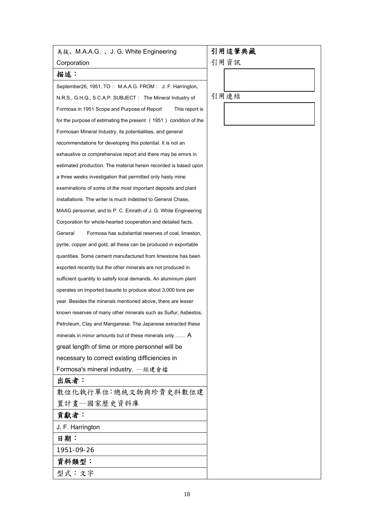| 美援、M.A.A.G. 、J. G. White Engineering                              | 引用這筆典藏 |
|-------------------------------------------------------------------|--------|
| Corporation                                                       | 引用資訊   |
| 描述:                                                               |        |
| September26, 1951, TO: M.A.A.G. FROM: J. F. Harrington,           |        |
| N.R.S., G.H.Q., S.C.A.P. SUBJECT: The Mineral Industry of         | 引用連結   |
| Formosa in 1951 Scope and Purpose of Report<br>This report is     |        |
| for the purpose of estimating the present (1951) condition of the |        |
| Formosan Mineral Industry, its potentialities, and general        |        |
| recommendations for developing this potential. It is not an       |        |
| exhaustive or comprehensive report and there may be errors in     |        |
| estimated production. The material herein recorded is based upon  |        |
| a three weeks investigation that permitted only hasty mine        |        |
| examinations of some of the most important deposits and plant     |        |
| installations. The writer is much indebted to General Chase,      |        |
| MAAG personnel, and to P. C. Emrath of J. G. White Engineering    |        |
| Corporation for whole-hearted cooperation and detailed facts.     |        |
| General<br>Formosa has substantial reserves of coal, limeston,    |        |
| pyrite, copper and gold, all these can be produced in exportable  |        |
| quantities. Some cement manufactured from limestone has been      |        |
| exported recently but the other minerals are not produced in      |        |
| sufficient quantity to satisfy local demands. An aluminium plant  |        |
| operates on imported bauxite to produce about 3,000 tons per      |        |
| year. Besides the minerals mentioned above, there are lesser      |        |
| known reserves of many other minerals such as Sulfur, Asbestos,   |        |
| Petroleum, Clay and Manganese. The Japanese extracted these       |        |
| minerals in minor amounts but of these minerals only A            |        |
| great length of time or more personnel will be                    |        |
| necessary to correct existing difficiencies in                    |        |
| Formosa's mineral industry. –經建會檔                                 |        |
| 出版者:                                                              |        |
| 數位化執行單位:總統文物與珍貴史料數位建                                              |        |
| 置計畫—國家歷史資料庫                                                       |        |
| 貢獻者:                                                              |        |
| J. F. Harrington                                                  |        |
| 日期:                                                               |        |
| 1951-09-26                                                        |        |
| 資料類型:                                                             |        |
| 型式:文字                                                             |        |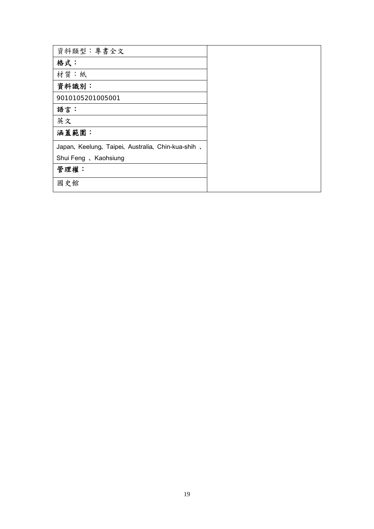| 資料類型:專書全文                                         |
|---------------------------------------------------|
| 格式:                                               |
| 材質:紙                                              |
| 資料識別:                                             |
| 9010105201005001                                  |
| 語言:                                               |
| 英文                                                |
| 涵蓋範圍:                                             |
| Japan, Keelung, Taipei, Australia, Chin-kua-shih, |
| Shui Feng, Kaohsiung                              |
| 管理權:                                              |
| 國史館                                               |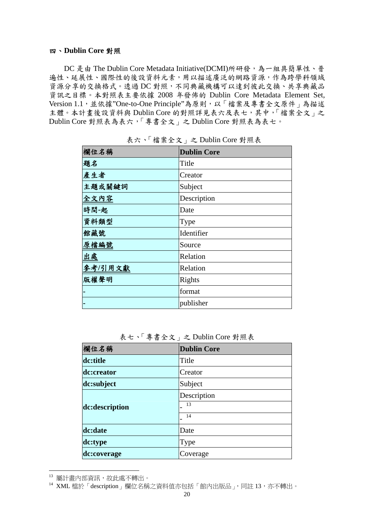#### 四、**Dublin Core** 對照

DC 是由 The Dublin Core Metadata Initiative(DCMI)所研發,為一組具簡單性、普 遍性、延展性、國際性的後設資料元素,用以描述廣泛的網路資源,作為跨學科領域 資源分享的交換格式。透過 DC 對照,不同典藏機構可以達到彼此交換、共享典藏品 資訊之目標。本對照表主要依據 2008 年發佈的 Dublin Core Metadata Element Set, Version 1.1,並依據"One-to-One Principle"為原則,以「檔案及專書全文原件」為描述 主體。本計畫後設資料與 Dublin Core 的對照詳見表六及表七,其中,「檔案全文」之 Dublin Core 對照表為表六,「專書全文」之 Dublin Core 對照表為表七。

| 欄位名稱      | <b>Dublin Core</b> |
|-----------|--------------------|
| 題名        | Title              |
| 產生者       | Creator            |
| 主題或關鍵詞    | Subject            |
| 全文內容      | Description        |
| 時間-起      | Date               |
| 資料類型      | Type               |
| 館藏號       | Identifier         |
| 原檔編號      | Source             |
| <b>出處</b> | Relation           |
| 參考/引用文獻   | Relation           |
| 版權聲明      | Rights             |
| ٠         | format             |
| H         | publisher          |

表六、「檔案全文」之 Dublin Core 對照表

表七、「專書全文」之 Dublin Core 對照表

| 欄位名稱           | <b>Dublin Core</b> |
|----------------|--------------------|
| dc:title       | Title              |
| dc:creator     | Creator            |
| dc:subject     | Subject            |
|                | Description        |
| dc:description | 13                 |
|                | 14                 |
| dc:date        | Date               |
| dc:type        | Type               |
| dc:coverage    | Coverage           |

<sup>13</sup> 屬計畫內部資訊,故此處不轉出。

1

<sup>&</sup>lt;sup>14</sup> XML 檔於「description」欄位名稱之資料值亦包括「館內出版品」,同註 13,亦不轉出。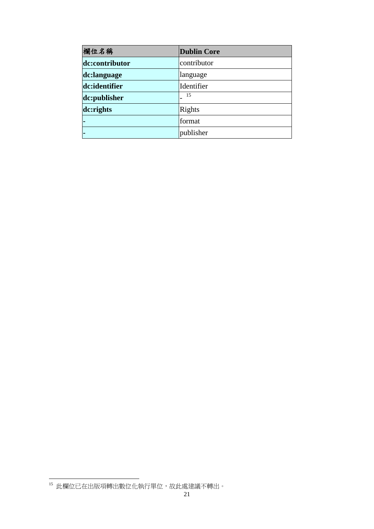| 欄位名稱           | <b>Dublin Core</b> |
|----------------|--------------------|
| dc:contributor | contributor        |
| dc:language    | language           |
| dc:identifier  | Identifier         |
| dc:publisher   | 15                 |
| dc:rights      | Rights             |
|                | format             |
|                | publisher          |

<sup>&</sup>lt;u>.</u> <sup>15</sup> 此欄位已在出版項轉出數位化執行單位,故此處建議不轉出。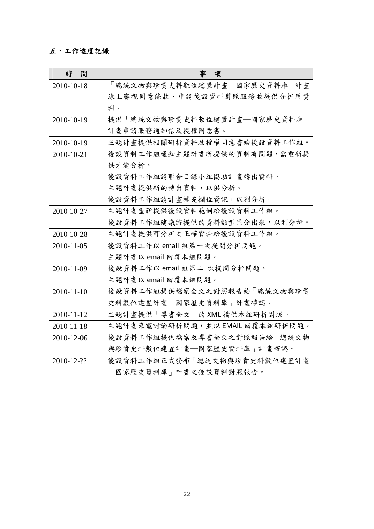#### 五、工作進度記錄

| 時<br>間     | 事<br>項                          |
|------------|---------------------------------|
| 2010-10-18 | 「總統文物與珍貴史料數位建置計畫—國家歷史資料庫   計畫   |
|            | 線上審視同意條款、申請後設資料對照服務並提供分析用資      |
|            | 料。                              |
| 2010-10-19 | 提供「總統文物與珍貴史料數位建置計畫—國家歷史資料庫」     |
|            | 計畫申請服務通知信及授權同意書。                |
| 2010-10-19 | 主題計畫提供相關研析資料及授權同意書給後設資料工作組。     |
| 2010-10-21 | 後設資料工作組通知主題計畫所提供的資料有問題,需重新提     |
|            | 供才能分析。                          |
|            | 後設資料工作組請聯合目錄小組協助計畫轉出資料。         |
|            | 主題計畫提供新的轉出資料,以供分析。              |
|            | 後設資料工作組請計畫補充欄位資訊,以利分析。          |
| 2010-10-27 | 主題計畫重新提供後設資料範例給後設資料工作組。         |
|            | 後設資料工作組建議將提供的資料類型區分出來,以利分析。     |
| 2010-10-28 | 主題計畫提供可分析之正確資料給後設資料工作組。         |
| 2010-11-05 | 後設資料工作以 email 組第一次提問分析問題。       |
|            | 主題計畫以 email 回覆本組問題。             |
| 2010-11-09 | 後設資料工作以 email 組第二 次提問分析問題。      |
|            | 主題計畫以 email 回覆本組問題。             |
| 2010-11-10 | 後設資料工作組提供檔案全文之對照報告給「總統文物與珍貴     |
|            | 史料數位建置計畫—國家歷史資料庫」計畫確認。          |
| 2010-11-12 | 主題計畫提供「專書全文」的 XML 檔供本組研析對照。     |
| 2010-11-18 | 主題計畫來電討論研析問題,並以 EMAIL 回覆本組研析問題。 |
| 2010-12-06 | 後設資料工作組提供檔案及專書全文之對照報告給「總統文物     |
|            | 與珍貴史料數位建置計畫—國家歷史資料庫」計畫確認。       |
| 2010-12-?? | 後設資料工作組正式發布「總統文物與珍貴史料數位建置計畫     |
|            | —國家歷史資料庫」計畫之後設資料對照報告。           |